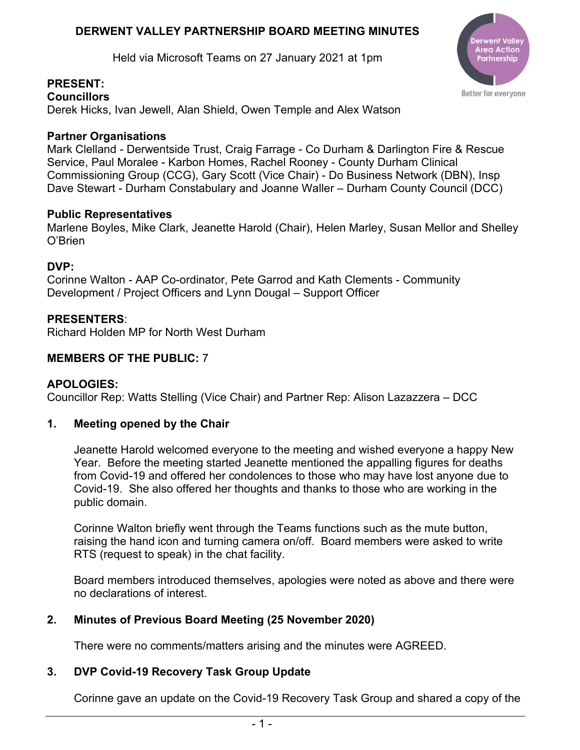# **DERWENT VALLEY PARTNERSHIP BOARD MEETING MINUTES**

Held via Microsoft Teams on 27 January 2021 at 1pm



# **PRESENT:**

**Councillors**  Derek Hicks, Ivan Jewell, Alan Shield, Owen Temple and Alex Watson

### **Partner Organisations**

Mark Clelland - Derwentside Trust, Craig Farrage - Co Durham & Darlington Fire & Rescue Service, Paul Moralee - Karbon Homes, Rachel Rooney - County Durham Clinical Commissioning Group (CCG), Gary Scott (Vice Chair) - Do Business Network (DBN), Insp Dave Stewart - Durham Constabulary and Joanne Waller – Durham County Council (DCC)

#### **Public Representatives**

Marlene Boyles, Mike Clark, Jeanette Harold (Chair), Helen Marley, Susan Mellor and Shelley O'Brien

#### **DVP:**

Corinne Walton - AAP Co-ordinator, Pete Garrod and Kath Clements - Community Development / Project Officers and Lynn Dougal – Support Officer

#### **PRESENTERS**:

Richard Holden MP for North West Durham

# **MEMBERS OF THE PUBLIC:** 7

#### **APOLOGIES:**

Councillor Rep: Watts Stelling (Vice Chair) and Partner Rep: Alison Lazazzera – DCC

#### **1. Meeting opened by the Chair**

Jeanette Harold welcomed everyone to the meeting and wished everyone a happy New Year. Before the meeting started Jeanette mentioned the appalling figures for deaths from Covid-19 and offered her condolences to those who may have lost anyone due to Covid-19. She also offered her thoughts and thanks to those who are working in the public domain.

Corinne Walton briefly went through the Teams functions such as the mute button, raising the hand icon and turning camera on/off. Board members were asked to write RTS (request to speak) in the chat facility.

Board members introduced themselves, apologies were noted as above and there were no declarations of interest.

# **2. Minutes of Previous Board Meeting (25 November 2020)**

There were no comments/matters arising and the minutes were AGREED.

# **3. DVP Covid-19 Recovery Task Group Update**

Corinne gave an update on the Covid-19 Recovery Task Group and shared a copy of the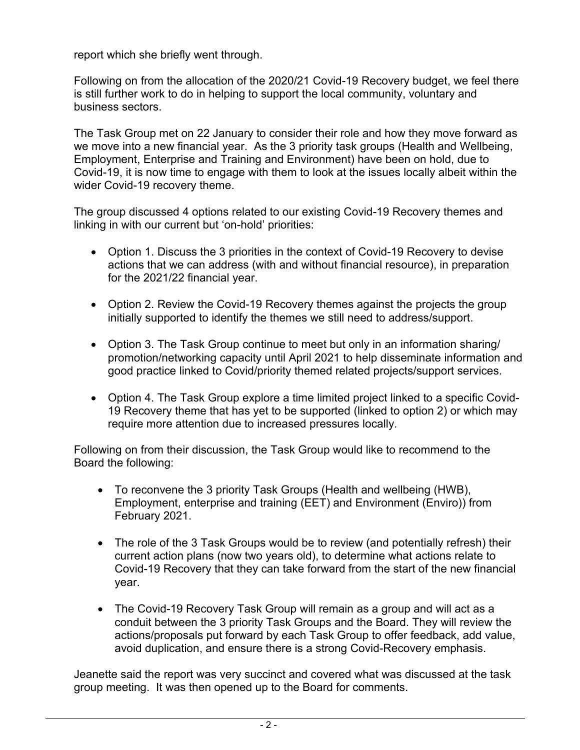report which she briefly went through.

Following on from the allocation of the 2020/21 Covid-19 Recovery budget, we feel there is still further work to do in helping to support the local community, voluntary and business sectors.

The Task Group met on 22 January to consider their role and how they move forward as we move into a new financial year. As the 3 priority task groups (Health and Wellbeing, Employment, Enterprise and Training and Environment) have been on hold, due to Covid-19, it is now time to engage with them to look at the issues locally albeit within the wider Covid-19 recovery theme.

The group discussed 4 options related to our existing Covid-19 Recovery themes and linking in with our current but 'on-hold' priorities:

- Option 1. Discuss the 3 priorities in the context of Covid-19 Recovery to devise actions that we can address (with and without financial resource), in preparation for the 2021/22 financial year.
- Option 2. Review the Covid-19 Recovery themes against the projects the group initially supported to identify the themes we still need to address/support.
- Option 3. The Task Group continue to meet but only in an information sharing/ promotion/networking capacity until April 2021 to help disseminate information and good practice linked to Covid/priority themed related projects/support services.
- Option 4. The Task Group explore a time limited project linked to a specific Covid-19 Recovery theme that has yet to be supported (linked to option 2) or which may require more attention due to increased pressures locally*.*

Following on from their discussion, the Task Group would like to recommend to the Board the following:

- To reconvene the 3 priority Task Groups (Health and wellbeing (HWB), Employment, enterprise and training (EET) and Environment (Enviro)) from February 2021.
- The role of the 3 Task Groups would be to review (and potentially refresh) their current action plans (now two years old), to determine what actions relate to Covid-19 Recovery that they can take forward from the start of the new financial year.
- The Covid-19 Recovery Task Group will remain as a group and will act as a conduit between the 3 priority Task Groups and the Board. They will review the actions/proposals put forward by each Task Group to offer feedback, add value, avoid duplication, and ensure there is a strong Covid-Recovery emphasis.

Jeanette said the report was very succinct and covered what was discussed at the task group meeting. It was then opened up to the Board for comments.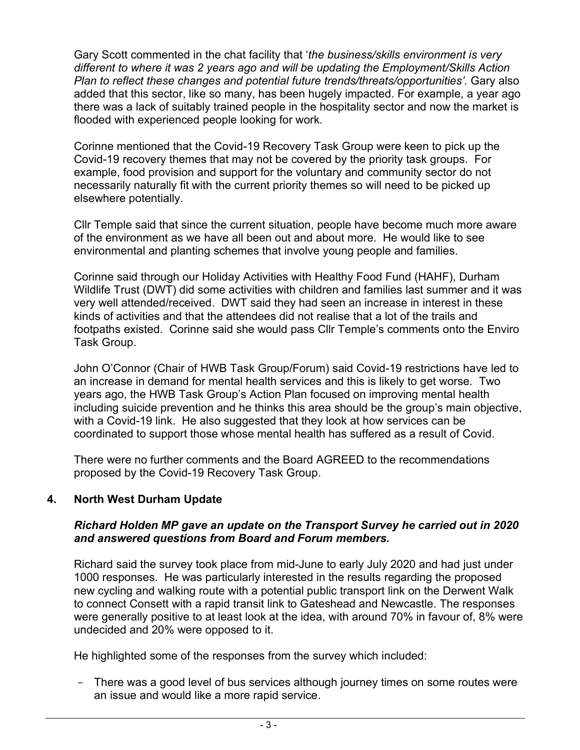Gary Scott commented in the chat facility that '*the business/skills environment is very different to where it was 2 years ago and will be updating the Employment/Skills Action Plan to reflect these changes and potential future trends/threats/opportunities'.* Gary also added that this sector, like so many, has been hugely impacted. For example, a year ago there was a lack of suitably trained people in the hospitality sector and now the market is flooded with experienced people looking for work.

Corinne mentioned that the Covid-19 Recovery Task Group were keen to pick up the Covid-19 recovery themes that may not be covered by the priority task groups. For example, food provision and support for the voluntary and community sector do not necessarily naturally fit with the current priority themes so will need to be picked up elsewhere potentially.

Cllr Temple said that since the current situation, people have become much more aware of the environment as we have all been out and about more. He would like to see environmental and planting schemes that involve young people and families.

Corinne said through our Holiday Activities with Healthy Food Fund (HAHF), Durham Wildlife Trust (DWT) did some activities with children and families last summer and it was very well attended/received. DWT said they had seen an increase in interest in these kinds of activities and that the attendees did not realise that a lot of the trails and footpaths existed. Corinne said she would pass Cllr Temple's comments onto the Enviro Task Group.

John O'Connor (Chair of HWB Task Group/Forum) said Covid-19 restrictions have led to an increase in demand for mental health services and this is likely to get worse. Two years ago, the HWB Task Group's Action Plan focused on improving mental health including suicide prevention and he thinks this area should be the group's main objective, with a Covid-19 link. He also suggested that they look at how services can be coordinated to support those whose mental health has suffered as a result of Covid.

There were no further comments and the Board AGREED to the recommendations proposed by the Covid-19 Recovery Task Group.

# **4. North West Durham Update**

#### *Richard Holden MP gave an update on the Transport Survey he carried out in 2020 and answered questions from Board and Forum members.*

Richard said the survey took place from mid-June to early July 2020 and had just under 1000 responses. He was particularly interested in the results regarding the proposed new cycling and walking route with a potential public transport link on the Derwent Walk to connect Consett with a rapid transit link to Gateshead and Newcastle. The responses were generally positive to at least look at the idea, with around 70% in favour of, 8% were undecided and 20% were opposed to it.

He highlighted some of the responses from the survey which included:

- There was a good level of bus services although journey times on some routes were an issue and would like a more rapid service.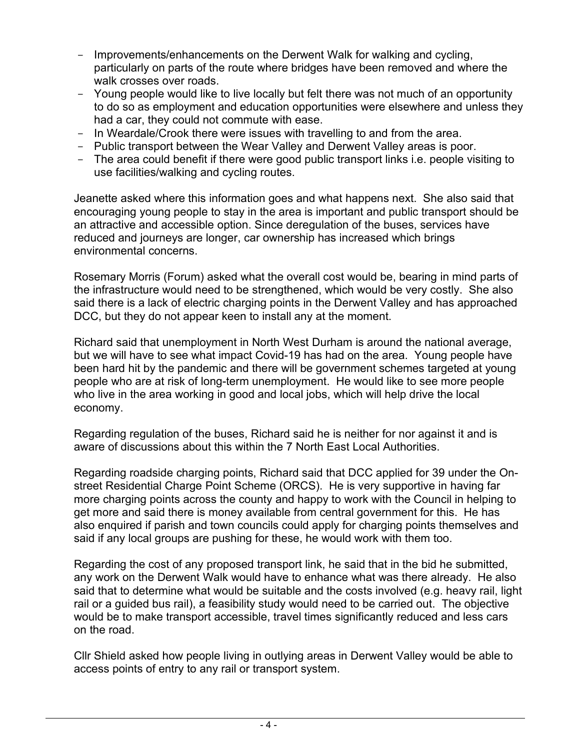- Improvements/enhancements on the Derwent Walk for walking and cycling, particularly on parts of the route where bridges have been removed and where the walk crosses over roads.
- Young people would like to live locally but felt there was not much of an opportunity to do so as employment and education opportunities were elsewhere and unless they had a car, they could not commute with ease.
- In Weardale/Crook there were issues with travelling to and from the area.
- Public transport between the Wear Valley and Derwent Valley areas is poor.
- The area could benefit if there were good public transport links i.e. people visiting to use facilities/walking and cycling routes.

Jeanette asked where this information goes and what happens next. She also said that encouraging young people to stay in the area is important and public transport should be an attractive and accessible option. Since deregulation of the buses, services have reduced and journeys are longer, car ownership has increased which brings environmental concerns.

Rosemary Morris (Forum) asked what the overall cost would be, bearing in mind parts of the infrastructure would need to be strengthened, which would be very costly. She also said there is a lack of electric charging points in the Derwent Valley and has approached DCC, but they do not appear keen to install any at the moment.

Richard said that unemployment in North West Durham is around the national average, but we will have to see what impact Covid-19 has had on the area. Young people have been hard hit by the pandemic and there will be government schemes targeted at young people who are at risk of long-term unemployment. He would like to see more people who live in the area working in good and local jobs, which will help drive the local economy.

Regarding regulation of the buses, Richard said he is neither for nor against it and is aware of discussions about this within the 7 North East Local Authorities.

Regarding roadside charging points, Richard said that DCC applied for 39 under the Onstreet Residential Charge Point Scheme (ORCS). He is very supportive in having far more charging points across the county and happy to work with the Council in helping to get more and said there is money available from central government for this. He has also enquired if parish and town councils could apply for charging points themselves and said if any local groups are pushing for these, he would work with them too.

Regarding the cost of any proposed transport link, he said that in the bid he submitted, any work on the Derwent Walk would have to enhance what was there already. He also said that to determine what would be suitable and the costs involved (e.g. heavy rail, light rail or a guided bus rail), a feasibility study would need to be carried out. The objective would be to make transport accessible, travel times significantly reduced and less cars on the road.

Cllr Shield asked how people living in outlying areas in Derwent Valley would be able to access points of entry to any rail or transport system.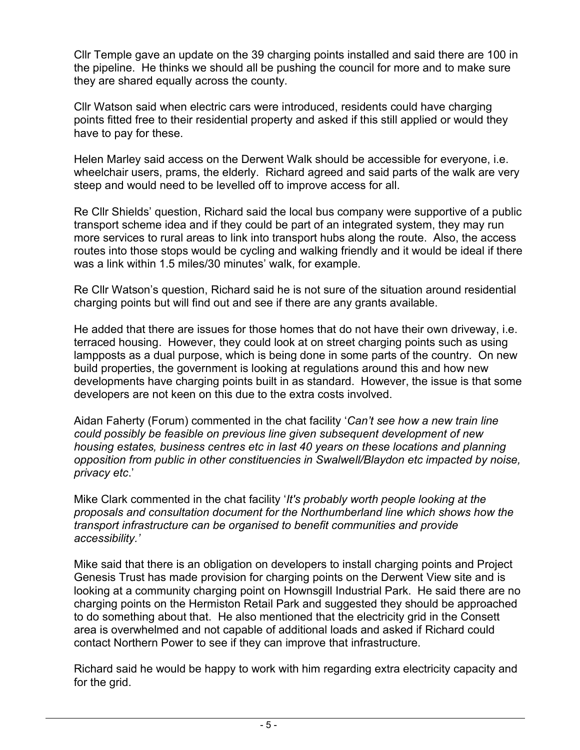Cllr Temple gave an update on the 39 charging points installed and said there are 100 in the pipeline. He thinks we should all be pushing the council for more and to make sure they are shared equally across the county.

Cllr Watson said when electric cars were introduced, residents could have charging points fitted free to their residential property and asked if this still applied or would they have to pay for these.

Helen Marley said access on the Derwent Walk should be accessible for everyone, i.e. wheelchair users, prams, the elderly. Richard agreed and said parts of the walk are very steep and would need to be levelled off to improve access for all.

Re Cllr Shields' question, Richard said the local bus company were supportive of a public transport scheme idea and if they could be part of an integrated system, they may run more services to rural areas to link into transport hubs along the route. Also, the access routes into those stops would be cycling and walking friendly and it would be ideal if there was a link within 1.5 miles/30 minutes' walk, for example.

Re Cllr Watson's question, Richard said he is not sure of the situation around residential charging points but will find out and see if there are any grants available.

He added that there are issues for those homes that do not have their own driveway, i.e. terraced housing. However, they could look at on street charging points such as using lampposts as a dual purpose, which is being done in some parts of the country. On new build properties, the government is looking at regulations around this and how new developments have charging points built in as standard. However, the issue is that some developers are not keen on this due to the extra costs involved.

Aidan Faherty (Forum) commented in the chat facility '*Can't see how a new train line could possibly be feasible on previous line given subsequent development of new housing estates, business centres etc in last 40 years on these locations and planning opposition from public in other constituencies in Swalwell/Blaydon etc impacted by noise, privacy etc*.'

Mike Clark commented in the chat facility '*It's probably worth people looking at the proposals and consultation document for the Northumberland line which shows how the transport infrastructure can be organised to benefit communities and provide accessibility.'*

Mike said that there is an obligation on developers to install charging points and Project Genesis Trust has made provision for charging points on the Derwent View site and is looking at a community charging point on Hownsgill Industrial Park. He said there are no charging points on the Hermiston Retail Park and suggested they should be approached to do something about that. He also mentioned that the electricity grid in the Consett area is overwhelmed and not capable of additional loads and asked if Richard could contact Northern Power to see if they can improve that infrastructure.

Richard said he would be happy to work with him regarding extra electricity capacity and for the grid.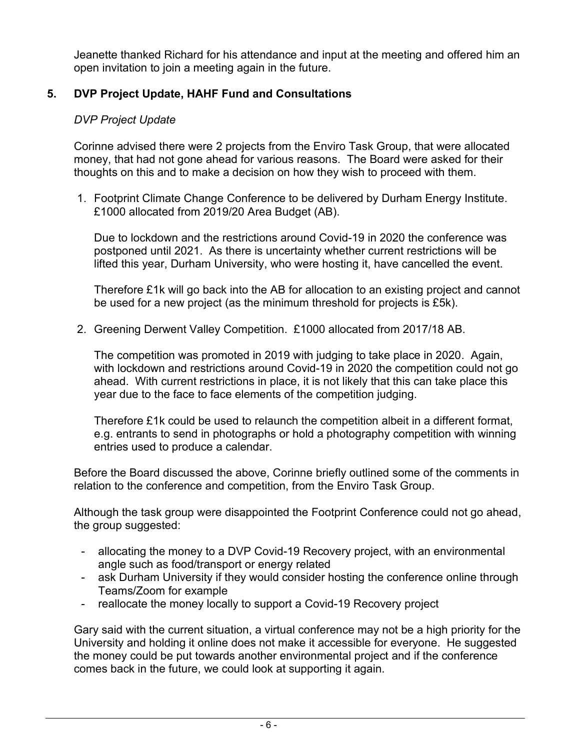Jeanette thanked Richard for his attendance and input at the meeting and offered him an open invitation to join a meeting again in the future.

# **5. DVP Project Update, HAHF Fund and Consultations**

### *DVP Project Update*

Corinne advised there were 2 projects from the Enviro Task Group, that were allocated money, that had not gone ahead for various reasons. The Board were asked for their thoughts on this and to make a decision on how they wish to proceed with them.

1. Footprint Climate Change Conference to be delivered by Durham Energy Institute. £1000 allocated from 2019/20 Area Budget (AB).

Due to lockdown and the restrictions around Covid-19 in 2020 the conference was postponed until 2021. As there is uncertainty whether current restrictions will be lifted this year, Durham University, who were hosting it, have cancelled the event.

Therefore £1k will go back into the AB for allocation to an existing project and cannot be used for a new project (as the minimum threshold for projects is £5k).

2. Greening Derwent Valley Competition. £1000 allocated from 2017/18 AB.

The competition was promoted in 2019 with judging to take place in 2020. Again, with lockdown and restrictions around Covid-19 in 2020 the competition could not go ahead. With current restrictions in place, it is not likely that this can take place this year due to the face to face elements of the competition judging.

Therefore £1k could be used to relaunch the competition albeit in a different format, e.g. entrants to send in photographs or hold a photography competition with winning entries used to produce a calendar.

Before the Board discussed the above, Corinne briefly outlined some of the comments in relation to the conference and competition, from the Enviro Task Group.

Although the task group were disappointed the Footprint Conference could not go ahead, the group suggested:

- allocating the money to a DVP Covid-19 Recovery project, with an environmental angle such as food/transport or energy related
- ask Durham University if they would consider hosting the conference online through Teams/Zoom for example
- reallocate the money locally to support a Covid-19 Recovery project

Gary said with the current situation, a virtual conference may not be a high priority for the University and holding it online does not make it accessible for everyone. He suggested the money could be put towards another environmental project and if the conference comes back in the future, we could look at supporting it again.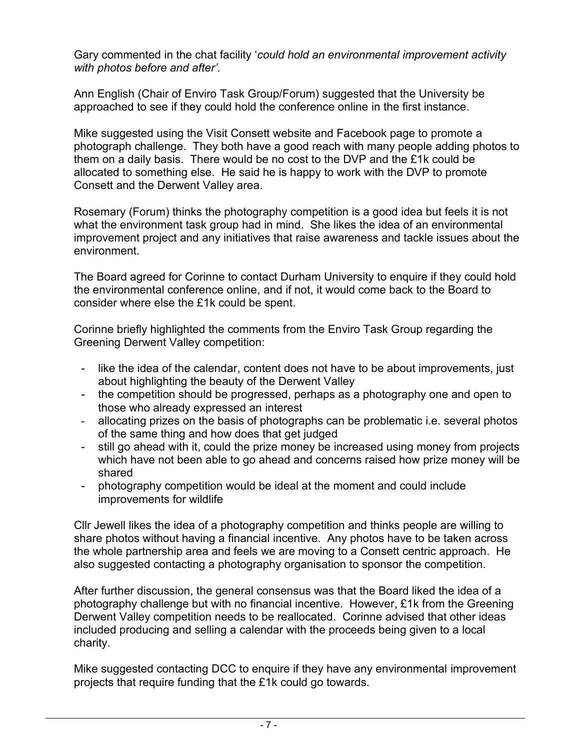Gary commented in the chat facility '*could hold an environmental improvement activity with photos before and after'.*

Ann English (Chair of Enviro Task Group/Forum) suggested that the University be approached to see if they could hold the conference online in the first instance.

Mike suggested using the Visit Consett website and Facebook page to promote a photograph challenge. They both have a good reach with many people adding photos to them on a daily basis. There would be no cost to the DVP and the £1k could be allocated to something else. He said he is happy to work with the DVP to promote Consett and the Derwent Valley area.

Rosemary (Forum) thinks the photography competition is a good idea but feels it is not what the environment task group had in mind. She likes the idea of an environmental improvement project and any initiatives that raise awareness and tackle issues about the environment.

The Board agreed for Corinne to contact Durham University to enquire if they could hold the environmental conference online, and if not, it would come back to the Board to consider where else the £1k could be spent.

Corinne briefly highlighted the comments from the Enviro Task Group regarding the Greening Derwent Valley competition:

- like the idea of the calendar, content does not have to be about improvements, just about highlighting the beauty of the Derwent Valley
- the competition should be progressed, perhaps as a photography one and open to those who already expressed an interest
- allocating prizes on the basis of photographs can be problematic i.e. several photos of the same thing and how does that get judged
- still go ahead with it, could the prize money be increased using money from projects which have not been able to go ahead and concerns raised how prize money will be shared
- photography competition would be ideal at the moment and could include improvements for wildlife

Cllr Jewell likes the idea of a photography competition and thinks people are willing to share photos without having a financial incentive. Any photos have to be taken across the whole partnership area and feels we are moving to a Consett centric approach. He also suggested contacting a photography organisation to sponsor the competition.

After further discussion, the general consensus was that the Board liked the idea of a photography challenge but with no financial incentive. However, £1k from the Greening Derwent Valley competition needs to be reallocated. Corinne advised that other ideas included producing and selling a calendar with the proceeds being given to a local charity.

Mike suggested contacting DCC to enquire if they have any environmental improvement projects that require funding that the £1k could go towards.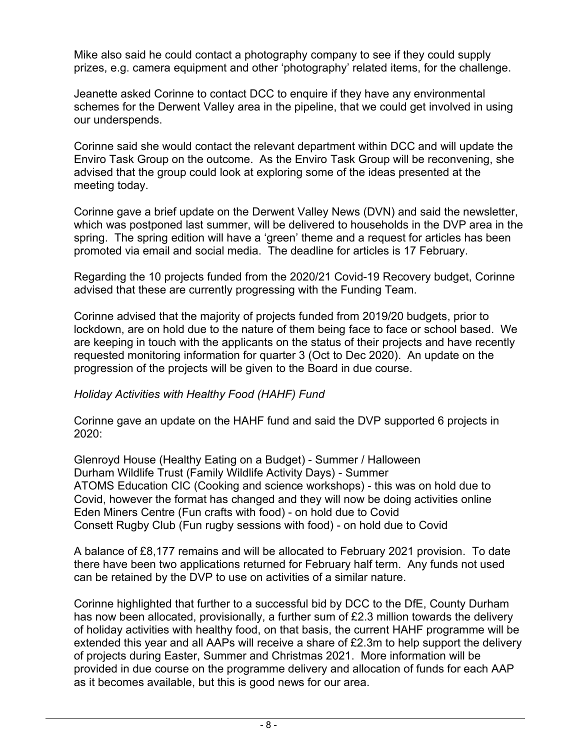Mike also said he could contact a photography company to see if they could supply prizes, e.g. camera equipment and other 'photography' related items, for the challenge.

Jeanette asked Corinne to contact DCC to enquire if they have any environmental schemes for the Derwent Valley area in the pipeline, that we could get involved in using our underspends.

Corinne said she would contact the relevant department within DCC and will update the Enviro Task Group on the outcome. As the Enviro Task Group will be reconvening, she advised that the group could look at exploring some of the ideas presented at the meeting today.

Corinne gave a brief update on the Derwent Valley News (DVN) and said the newsletter, which was postponed last summer, will be delivered to households in the DVP area in the spring. The spring edition will have a 'green' theme and a request for articles has been promoted via email and social media. The deadline for articles is 17 February.

Regarding the 10 projects funded from the 2020/21 Covid-19 Recovery budget, Corinne advised that these are currently progressing with the Funding Team.

Corinne advised that the majority of projects funded from 2019/20 budgets, prior to lockdown, are on hold due to the nature of them being face to face or school based. We are keeping in touch with the applicants on the status of their projects and have recently requested monitoring information for quarter 3 (Oct to Dec 2020). An update on the progression of the projects will be given to the Board in due course.

# *Holiday Activities with Healthy Food (HAHF) Fund*

Corinne gave an update on the HAHF fund and said the DVP supported 6 projects in 2020:

Glenroyd House (Healthy Eating on a Budget) - Summer / Halloween Durham Wildlife Trust (Family Wildlife Activity Days) - Summer ATOMS Education CIC (Cooking and science workshops) - this was on hold due to Covid, however the format has changed and they will now be doing activities online Eden Miners Centre (Fun crafts with food) - on hold due to Covid Consett Rugby Club (Fun rugby sessions with food) - on hold due to Covid

A balance of £8,177 remains and will be allocated to February 2021 provision. To date there have been two applications returned for February half term. Any funds not used can be retained by the DVP to use on activities of a similar nature.

Corinne highlighted that further to a successful bid by DCC to the DfE, County Durham has now been allocated, provisionally, a further sum of £2.3 million towards the delivery of holiday activities with healthy food, on that basis, the current HAHF programme will be extended this year and all AAPs will receive a share of £2.3m to help support the delivery of projects during Easter, Summer and Christmas 2021. More information will be provided in due course on the programme delivery and allocation of funds for each AAP as it becomes available, but this is good news for our area.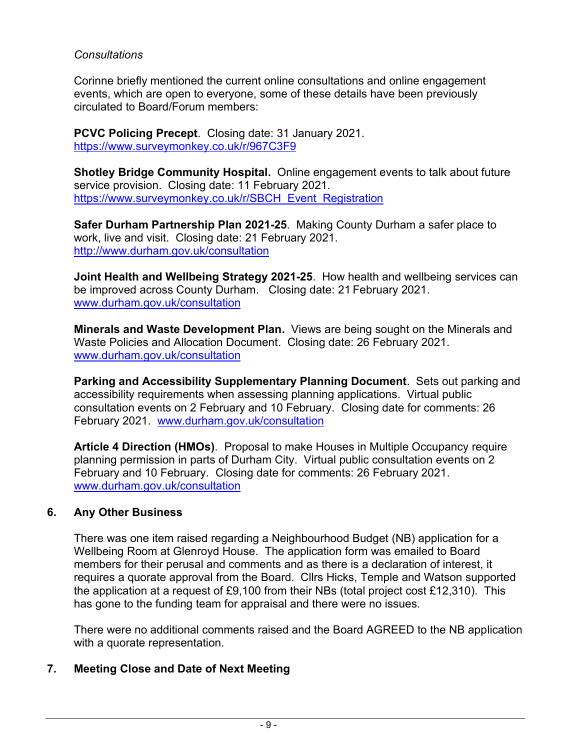#### *Consultations*

Corinne briefly mentioned the current online consultations and online engagement events, which are open to everyone, some of these details have been previously circulated to Board/Forum members:

**PCVC Policing Precept**. Closing date: 31 January 2021. <https://www.surveymonkey.co.uk/r/967C3F9>

**Shotley Bridge Community Hospital.** Online engagement events to talk about future service provision. Closing date: 11 February 2021. [https://www.surveymonkey.co.uk/r/SBCH\\_Event\\_Registration](https://www.surveymonkey.co.uk/r/SBCH_Event_Registration)

**Safer Durham Partnership Plan 2021-25**. Making County Durham a safer place to work, live and visit. Closing date: 21 February 2021. <http://www.durham.gov.uk/consultation>

**Joint Health and Wellbeing Strategy 2021-25**. How health and wellbeing services can be improved across County Durham. Closing date: 21 February 2021. [www.durham.gov.uk/consultation](http://www.durham.gov.uk/consultation)

**Minerals and Waste Development Plan.** Views are being sought on the Minerals and Waste Policies and Allocation Document. Closing date: 26 February 2021. [www.durham.gov.uk/consultation](http://www.durham.gov.uk/consultation)

**Parking and Accessibility Supplementary Planning Document**. Sets out parking and accessibility requirements when assessing planning applications. Virtual public consultation events on 2 February and 10 February. Closing date for comments: 26 February 2021. [www.durham.gov.uk/consultation](http://www.durham.gov.uk/consultation)

**Article 4 Direction (HMOs)**. Proposal to make Houses in Multiple Occupancy require planning permission in parts of Durham City. Virtual public consultation events on 2 February and 10 February. Closing date for comments: 26 February 2021. [www.durham.gov.uk/consultation](http://www.durham.gov.uk/consultation)

#### **6. Any Other Business**

There was one item raised regarding a Neighbourhood Budget (NB) application for a Wellbeing Room at Glenroyd House. The application form was emailed to Board members for their perusal and comments and as there is a declaration of interest, it requires a quorate approval from the Board. Cllrs Hicks, Temple and Watson supported the application at a request of £9,100 from their NBs (total project cost £12,310). This has gone to the funding team for appraisal and there were no issues.

There were no additional comments raised and the Board AGREED to the NB application with a quorate representation.

# **7. Meeting Close and Date of Next Meeting**